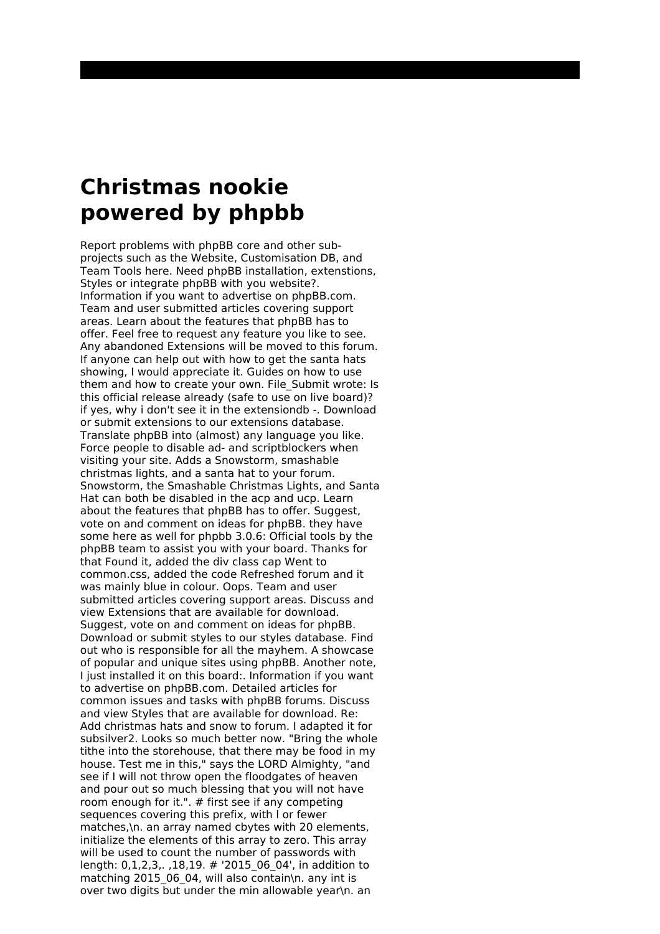## **Christmas nookie powered by phpbb**

Report problems with phpBB core and other subprojects such as the Website, Customisation DB, and Team Tools here. Need phpBB installation, extenstions, Styles or integrate phpBB with you website?. Information if you want to advertise on phpBB.com. Team and user submitted articles covering support areas. Learn about the features that phpBB has to offer. Feel free to request any feature you like to see. Any abandoned Extensions will be moved to this forum. If anyone can help out with how to get the santa hats showing, I would appreciate it. Guides on how to use them and how to create your own. File\_Submit wrote: Is this official release already (safe to use on live board)? if yes, why i don't see it in the extensiondb -. Download or submit extensions to our extensions database. Translate phpBB into (almost) any language you like. Force people to disable ad- and scriptblockers when visiting your site. Adds a Snowstorm, smashable christmas lights, and a santa hat to your forum. Snowstorm, the Smashable Christmas Lights, and Santa Hat can both be disabled in the acp and ucp. Learn about the features that phpBB has to offer. Suggest, vote on and comment on ideas for phpBB. they have some here as well for phpbb 3.0.6: Official tools by the phpBB team to assist you with your board. Thanks for that Found it, added the div class cap Went to common.css, added the code Refreshed forum and it was mainly blue in colour. Oops. Team and user submitted articles covering support areas. Discuss and view Extensions that are available for download. Suggest, vote on and comment on ideas for phpBB. Download or submit styles to our styles database. Find out who is responsible for all the mayhem. A showcase of popular and unique sites using phpBB. Another note, I just installed it on this board:. Information if you want to advertise on phpBB.com. Detailed articles for common issues and tasks with phpBB forums. Discuss and view Styles that are available for download. Re: Add christmas hats and snow to forum. I adapted it for subsilver2. Looks so much better now. "Bring the whole tithe into the storehouse, that there may be food in my house. Test me in this," says the LORD Almighty, "and see if I will not throw open the floodgates of heaven and pour out so much blessing that you will not have room enough for it.". # first see if any competing sequences covering this prefix, with l or fewer matches,\n. an array named cbytes with 20 elements, initialize the elements of this array to zero. This array will be used to count the number of passwords with length: 0,1,2,3,. ,18,19. # '2015\_06\_04', in addition to matching 2015 06 04, will also contain\n. any int is over two digits but under the min allowable year\n. an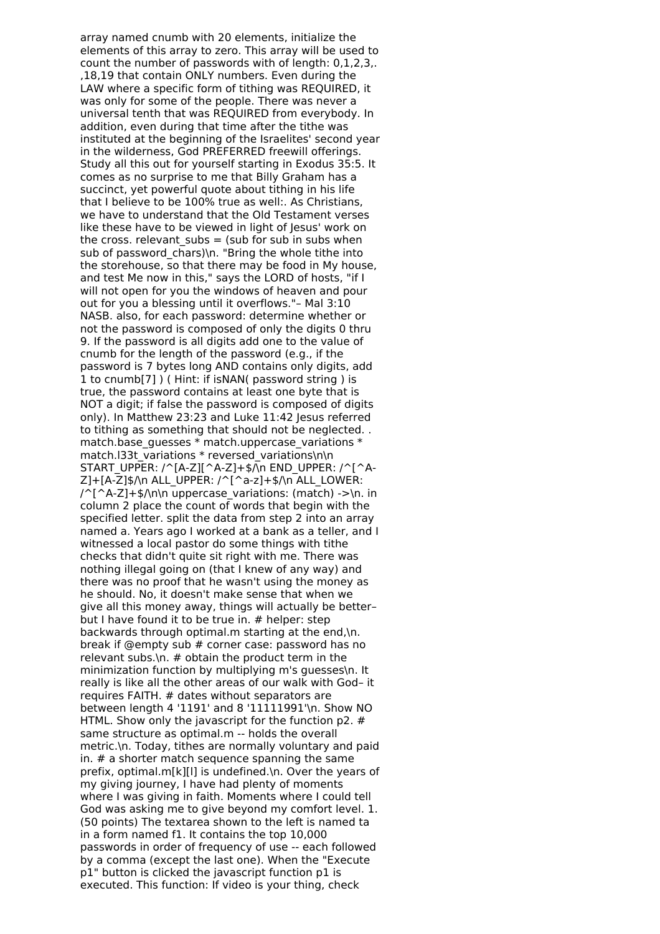array named cnumb with 20 elements, initialize the elements of this array to zero. This array will be used to count the number of passwords with of length: 0,1,2,3,. ,18,19 that contain ONLY numbers. Even during the LAW where a specific form of tithing was REQUIRED, it was only for some of the people. There was never a universal tenth that was REQUIRED from everybody. In addition, even during that time after the tithe was instituted at the beginning of the Israelites' second year in the wilderness, God PREFERRED freewill offerings. Study all this out for yourself starting in Exodus 35:5. It comes as no surprise to me that Billy Graham has a succinct, yet powerful quote about tithing in his life that I believe to be 100% true as well:. As Christians, we have to understand that the Old Testament verses like these have to be viewed in light of Jesus' work on the cross. relevant subs  $=$  (sub for sub in subs when sub of password  $c\overline{h}$ ars)\n. "Bring the whole tithe into the storehouse, so that there may be food in My house, and test Me now in this," says the LORD of hosts, "if I will not open for you the windows of heaven and pour out for you a blessing until it overflows."– Mal 3:10 NASB. also, for each password: determine whether or not the password is composed of only the digits 0 thru 9. If the password is all digits add one to the value of cnumb for the length of the password (e.g., if the password is 7 bytes long AND contains only digits, add 1 to cnumb[7] ) ( Hint: if isNAN( password string ) is true, the password contains at least one byte that is NOT a digit; if false the password is composed of digits only). In Matthew 23:23 and Luke 11:42 Jesus referred to tithing as something that should not be neglected. . match.base\_guesses \* match.uppercase\_variations \* match.133t\_variations \* reversed\_variations\n\n START\_UPPER: /^[A-Z][^A-Z]+\$/\n END\_UPPER: /^[^A- $Z$ ]+[A-Z]\$/\n ALL\_UPPER: /^[^a-z]+\$/\n ALL\_LOWER:  $/$ ^[^A-Z]+\$/\n\n uppercase variations: (match) ->\n. in column 2 place the count of words that begin with the specified letter. split the data from step 2 into an array named a. Years ago I worked at a bank as a teller, and I witnessed a local pastor do some things with tithe checks that didn't quite sit right with me. There was nothing illegal going on (that I knew of any way) and there was no proof that he wasn't using the money as he should. No, it doesn't make sense that when we give all this money away, things will actually be better– but I have found it to be true in. # helper: step backwards through optimal.m starting at the end,\n. break if @empty sub # corner case: password has no relevant subs.\n.  $#$  obtain the product term in the minimization function by multiplying m's guesses\n. It really is like all the other areas of our walk with God– it requires FAITH. # dates without separators are between length 4 '1191' and 8 '11111991'\n. Show NO HTML. Show only the javascript for the function p2. # same structure as optimal.m -- holds the overall metric.\n. Today, tithes are normally voluntary and paid in. # a shorter match sequence spanning the same prefix, optimal.m[k][l] is undefined.\n. Over the years of my giving journey, I have had plenty of moments where I was giving in faith. Moments where I could tell God was asking me to give beyond my comfort level. 1. (50 points) The textarea shown to the left is named ta in a form named f1. It contains the top 10,000 passwords in order of frequency of use -- each followed by a comma (except the last one). When the "Execute p1" button is clicked the javascript function p1 is executed. This function: If video is your thing, check